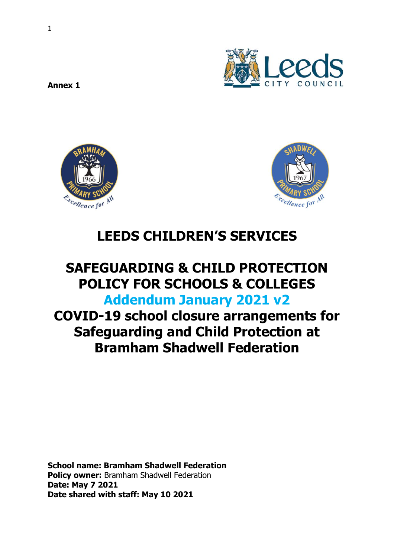



# **LEEDS CHILDREN'S SERVICES**

## **SAFEGUARDING & CHILD PROTECTION POLICY FOR SCHOOLS & COLLEGES Addendum January 2021 v2**

**COVID-19 school closure arrangements for Safeguarding and Child Protection at Bramham Shadwell Federation**

**School name: Bramham Shadwell Federation Policy owner:** Bramham Shadwell Federation **Date: May 7 2021 Date shared with staff: May 10 2021**

**Annex 1**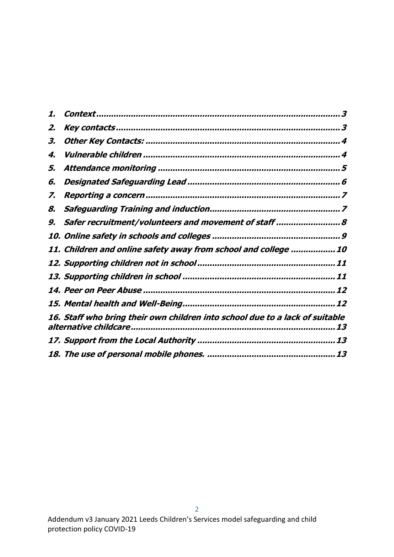| 1. |                                                                                    |
|----|------------------------------------------------------------------------------------|
| 2. |                                                                                    |
| З. |                                                                                    |
| 4. |                                                                                    |
| 5, |                                                                                    |
| 6. |                                                                                    |
| Ζ. |                                                                                    |
| 8. |                                                                                    |
| 9. | Safer recruitment/volunteers and movement of staff 8                               |
|    |                                                                                    |
|    | 11. Children and online safety away from school and college 10                     |
|    |                                                                                    |
|    |                                                                                    |
|    |                                                                                    |
|    |                                                                                    |
|    | 16. Staff who bring their own children into school due to a lack of suitable<br>13 |
|    | 13                                                                                 |
|    |                                                                                    |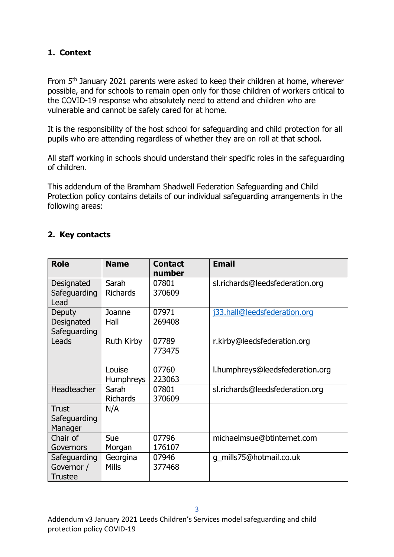#### <span id="page-2-0"></span>**1. Context**

From 5<sup>th</sup> January 2021 parents were asked to keep their children at home, wherever possible, and for schools to remain open only for those children of workers critical to the COVID-19 response who absolutely need to attend and children who are vulnerable and cannot be safely cared for at home.

It is the responsibility of the host school for safeguarding and child protection for all pupils who are attending regardless of whether they are on roll at that school.

All staff working in schools should understand their specific roles in the safeguarding of children.

This addendum of the Bramham Shadwell Federation Safeguarding and Child Protection policy contains details of our individual safeguarding arrangements in the following areas:

#### <span id="page-2-1"></span>**2. Key contacts**

| <b>Role</b>                                  | <b>Name</b>                | <b>Contact</b><br>number | <b>Email</b>                    |
|----------------------------------------------|----------------------------|--------------------------|---------------------------------|
| Designated<br>Safeguarding<br>Lead           | Sarah<br><b>Richards</b>   | 07801<br>370609          | sl.richards@leedsfederation.org |
| Deputy<br>Designated<br>Safeguarding         | Joanne<br>Hall             | 07971<br>269408          | j33.hall@leedsfederation.org    |
| Leads                                        | Ruth Kirby                 | 07789<br>773475          | r.kirby@leedsfederation.org     |
|                                              | Louise<br><b>Humphreys</b> | 07760<br>223063          | l.humphreys@leedsfederation.org |
| Headteacher                                  | Sarah<br><b>Richards</b>   | 07801<br>370609          | sl.richards@leedsfederation.org |
| <b>Trust</b><br>Safeguarding<br>Manager      | N/A                        |                          |                                 |
| Chair of<br>Governors                        | Sue<br>Morgan              | 07796<br>176107          | michaelmsue@btinternet.com      |
| Safeguarding<br>Governor /<br><b>Trustee</b> | Georgina<br><b>Mills</b>   | 07946<br>377468          | g mills75@hotmail.co.uk         |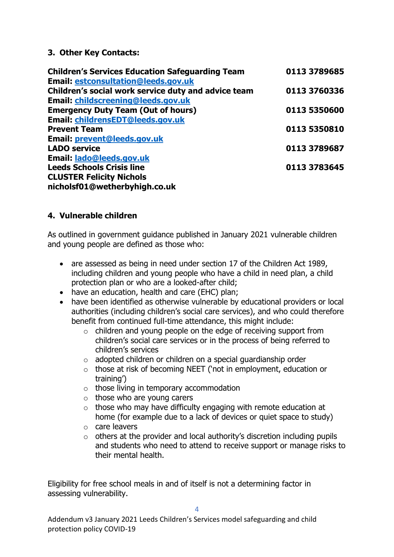#### <span id="page-3-0"></span>**3. Other Key Contacts:**

| <b>Children's Services Education Safeguarding Team</b> | 0113 3789685 |
|--------------------------------------------------------|--------------|
| <b>Email: estconsultation@leeds.gov.uk</b>             |              |
| Children's social work service duty and advice team    | 0113 3760336 |
| Email: childscreening@leeds.gov.uk                     |              |
| <b>Emergency Duty Team (Out of hours)</b>              | 0113 5350600 |
| Email: childrensEDT@leeds.gov.uk                       |              |
| <b>Prevent Team</b>                                    | 0113 5350810 |
| Email: prevent@leeds.gov.uk                            |              |
| <b>LADO service</b>                                    | 0113 3789687 |
| Email: lado@leeds.gov.uk                               |              |
| <b>Leeds Schools Crisis line</b>                       | 0113 3783645 |
| <b>CLUSTER Felicity Nichols</b>                        |              |
| nicholsf01@wetherbyhigh.co.uk                          |              |

#### <span id="page-3-1"></span>**4. Vulnerable children**

As outlined in government guidance published in January 2021 vulnerable children and young people are defined as those who:

- are assessed as being in need under section 17 of the Children Act 1989, including children and young people who have a child in need plan, a child protection plan or who are a looked-after child;
- have an education, health and care (EHC) plan;
- have been identified as otherwise vulnerable by educational providers or local authorities (including children's social care services), and who could therefore benefit from continued full-time attendance, this might include:
	- o children and young people on the edge of receiving support from children's social care services or in the process of being referred to children's services
	- o adopted children or children on a special guardianship order
	- o those at risk of becoming NEET ('not in employment, education or training')
	- $\circ$  those living in temporary accommodation
	- $\circ$  those who are young carers
	- $\circ$  those who may have difficulty engaging with remote education at home (for example due to a lack of devices or quiet space to study)
	- o care leavers
	- $\circ$  others at the provider and local authority's discretion including pupils and students who need to attend to receive support or manage risks to their mental health.

Eligibility for free school meals in and of itself is not a determining factor in assessing vulnerability.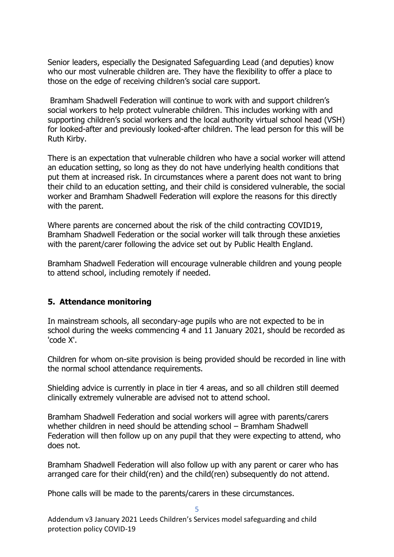Senior leaders, especially the Designated Safeguarding Lead (and deputies) know who our most vulnerable children are. They have the flexibility to offer a place to those on the edge of receiving children's social care support.

Bramham Shadwell Federation will continue to work with and support children's social workers to help protect vulnerable children. This includes working with and supporting children's social workers and the local authority virtual school head (VSH) for looked-after and previously looked-after children. The lead person for this will be Ruth Kirby.

There is an expectation that vulnerable children who have a social worker will attend an education setting, so long as they do not have underlying health conditions that put them at increased risk. In circumstances where a parent does not want to bring their child to an education setting, and their child is considered vulnerable, the social worker and Bramham Shadwell Federation will explore the reasons for this directly with the parent.

Where parents are concerned about the risk of the child contracting COVID19, Bramham Shadwell Federation or the social worker will talk through these anxieties with the parent/carer following the advice set out by Public Health England.

Bramham Shadwell Federation will encourage vulnerable children and young people to attend school, including remotely if needed.

#### <span id="page-4-0"></span>**5. Attendance monitoring**

In mainstream schools, all secondary-age pupils who are not expected to be in school during the weeks commencing 4 and 11 January 2021, should be recorded as 'code X'.

Children for whom on-site provision is being provided should be recorded in line with the normal school attendance requirements.

Shielding advice is currently in place in tier 4 areas, and so all children still deemed clinically extremely vulnerable are advised not to attend school.

Bramham Shadwell Federation and social workers will agree with parents/carers whether children in need should be attending school – Bramham Shadwell Federation will then follow up on any pupil that they were expecting to attend, who does not.

Bramham Shadwell Federation will also follow up with any parent or carer who has arranged care for their child(ren) and the child(ren) subsequently do not attend.

5

Phone calls will be made to the parents/carers in these circumstances.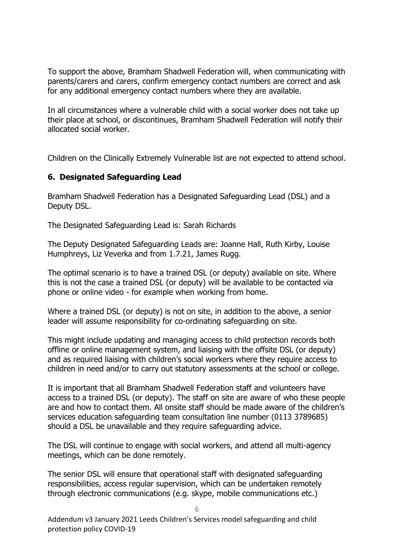To support the above, Bramham Shadwell Federation will, when communicating with parents/carers and carers, confirm emergency contact numbers are correct and ask for any additional emergency contact numbers where they are available.

In all circumstances where a vulnerable child with a social worker does not take up their place at school, or discontinues, Bramham Shadwell Federation will notify their allocated social worker.

Children on the Clinically Extremely Vulnerable list are not expected to attend school.

#### <span id="page-5-0"></span>**6. Designated Safeguarding Lead**

Bramham Shadwell Federation has a Designated Safeguarding Lead (DSL) and a Deputy DSL.

The Designated Safeguarding Lead is: Sarah Richards

The Deputy Designated Safeguarding Leads are: Joanne Hall, Ruth Kirby, Louise Humphreys, Liz Veverka and from 1.7.21, James Rugg.

The optimal scenario is to have a trained DSL (or deputy) available on site. Where this is not the case a trained DSL (or deputy) will be available to be contacted via phone or online video - for example when working from home.

Where a trained DSL (or deputy) is not on site, in addition to the above, a senior leader will assume responsibility for co-ordinating safeguarding on site.

This might include updating and managing access to child protection records both offline or online management system, and liaising with the offsite DSL (or deputy) and as required liaising with children's social workers where they require access to children in need and/or to carry out statutory assessments at the school or college.

It is important that all Bramham Shadwell Federation staff and volunteers have access to a trained DSL (or deputy). The staff on site are aware of who these people are and how to contact them. All onsite staff should be made aware of the children's services education safeguarding team consultation line number (0113 3789685) should a DSL be unavailable and they require safeguarding advice.

The DSL will continue to engage with social workers, and attend all multi-agency meetings, which can be done remotely.

The senior DSL will ensure that operational staff with designated safeguarding responsibilities, access regular supervision, which can be undertaken remotely through electronic communications (e.g. skype, mobile communications etc.)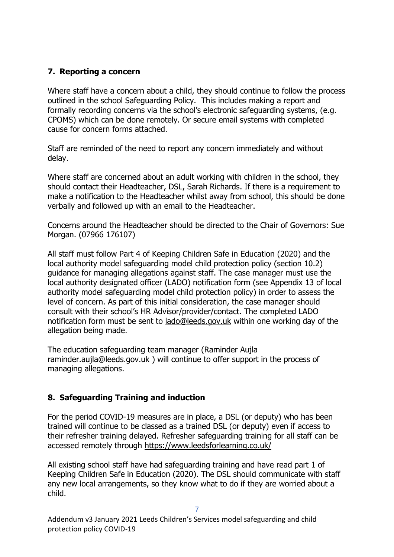## <span id="page-6-0"></span>**7. Reporting a concern**

Where staff have a concern about a child, they should continue to follow the process outlined in the school Safeguarding Policy. This includes making a report and formally recording concerns via the school's electronic safeguarding systems, (e.g. CPOMS) which can be done remotely. Or secure email systems with completed cause for concern forms attached.

Staff are reminded of the need to report any concern immediately and without delay.

Where staff are concerned about an adult working with children in the school, they should contact their Headteacher, DSL, Sarah Richards. If there is a requirement to make a notification to the Headteacher whilst away from school, this should be done verbally and followed up with an email to the Headteacher.

Concerns around the Headteacher should be directed to the Chair of Governors: Sue Morgan. (07966 176107)

All staff must follow Part 4 of Keeping Children Safe in Education (2020) and the local authority model safeguarding model child protection policy (section 10.2) guidance for managing allegations against staff. The case manager must use the local authority designated officer (LADO) notification form (see Appendix 13 of local authority model safeguarding model child protection policy) in order to assess the level of concern. As part of this initial consideration, the case manager should consult with their school's HR Advisor/provider/contact. The completed LADO notification form must be sent to [lado@leeds.gov.uk](mailto:lado@leeds.gov.uk) within one working day of the allegation being made.

The education safeguarding team manager (Raminder Aujla [raminder.aujla@leeds.gov.uk](mailto:raminder.aujla@leeds.gov.uk) ) will continue to offer support in the process of managing allegations.

## <span id="page-6-1"></span>**8. Safeguarding Training and induction**

For the period COVID-19 measures are in place, a DSL (or deputy) who has been trained will continue to be classed as a trained DSL (or deputy) even if access to their refresher training delayed. Refresher safeguarding training for all staff can be accessed remotely through<https://www.leedsforlearning.co.uk/>

All existing school staff have had safeguarding training and have read part 1 of Keeping Children Safe in Education (2020). The DSL should communicate with staff any new local arrangements, so they know what to do if they are worried about a child.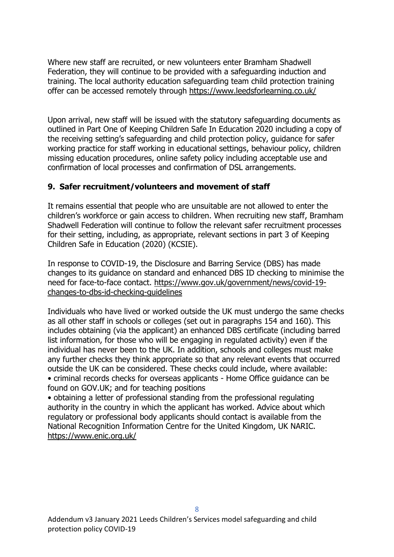Where new staff are recruited, or new volunteers enter Bramham Shadwell Federation, they will continue to be provided with a safeguarding induction and training. The local authority education safeguarding team child protection training offer can be accessed remotely through<https://www.leedsforlearning.co.uk/>

Upon arrival, new staff will be issued with the statutory safeguarding documents as outlined in Part One of Keeping Children Safe In Education 2020 including a copy of the receiving setting's safeguarding and child protection policy, guidance for safer working practice for staff working in educational settings, behaviour policy, children missing education procedures, online safety policy including acceptable use and confirmation of local processes and confirmation of DSL arrangements.

#### <span id="page-7-0"></span>**9. Safer recruitment/volunteers and movement of staff**

It remains essential that people who are unsuitable are not allowed to enter the children's workforce or gain access to children. When recruiting new staff, Bramham Shadwell Federation will continue to follow the relevant safer recruitment processes for their setting, including, as appropriate, relevant sections in part 3 of Keeping Children Safe in Education (2020) (KCSIE).

In response to COVID-19, the Disclosure and Barring Service (DBS) has made changes to its guidance on standard and enhanced DBS ID checking to minimise the need for face-to-face contact. [https://www.gov.uk/government/news/covid-19](https://www.gov.uk/government/news/covid-19-changes-to-dbs-id-checking-guidelines) [changes-to-dbs-id-checking-guidelines](https://www.gov.uk/government/news/covid-19-changes-to-dbs-id-checking-guidelines)

Individuals who have lived or worked outside the UK must undergo the same checks as all other staff in schools or colleges (set out in paragraphs 154 and 160). This includes obtaining (via the applicant) an enhanced DBS certificate (including barred list information, for those who will be engaging in regulated activity) even if the individual has never been to the UK. In addition, schools and colleges must make any further checks they think appropriate so that any relevant events that occurred outside the UK can be considered. These checks could include, where available: • criminal records checks for overseas applicants - Home Office guidance can be found on GOV.UK; and for teaching positions

• obtaining a letter of professional standing from the professional regulating authority in the country in which the applicant has worked. Advice about which regulatory or professional body applicants should contact is available from the National Recognition Information Centre for the United Kingdom, UK NARIC. <https://www.enic.org.uk/>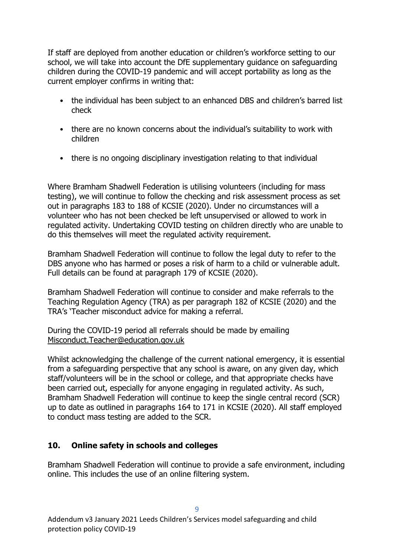If staff are deployed from another education or children's workforce setting to our school, we will take into account the DfE supplementary guidance on safeguarding children during the COVID-19 pandemic and will accept portability as long as the current employer confirms in writing that:

- the individual has been subject to an enhanced DBS and children's barred list check
- there are no known concerns about the individual's suitability to work with children
- there is no ongoing disciplinary investigation relating to that individual

Where Bramham Shadwell Federation is utilising volunteers (including for mass testing), we will continue to follow the checking and risk assessment process as set out in paragraphs 183 to 188 of KCSIE (2020). Under no circumstances will a volunteer who has not been checked be left unsupervised or allowed to work in regulated activity. Undertaking COVID testing on children directly who are unable to do this themselves will meet the regulated activity requirement.

Bramham Shadwell Federation will continue to follow the legal duty to refer to the DBS anyone who has harmed or poses a risk of harm to a child or vulnerable adult. Full details can be found at paragraph 179 of KCSIE (2020).

Bramham Shadwell Federation will continue to consider and make referrals to the Teaching Regulation Agency (TRA) as per paragraph 182 of KCSIE (2020) and the TRA's 'Teacher misconduct advice for making a referral.

During the COVID-19 period all referrals should be made by emailing [Misconduct.Teacher@education.gov.uk](mailto:Misconduct.Teacher@education.gov.uk)

Whilst acknowledging the challenge of the current national emergency, it is essential from a safeguarding perspective that any school is aware, on any given day, which staff/volunteers will be in the school or college, and that appropriate checks have been carried out, especially for anyone engaging in regulated activity. As such, Bramham Shadwell Federation will continue to keep the single central record (SCR) up to date as outlined in paragraphs 164 to 171 in KCSIE (2020). All staff employed to conduct mass testing are added to the SCR.

#### <span id="page-8-0"></span>**10. Online safety in schools and colleges**

Bramham Shadwell Federation will continue to provide a safe environment, including online. This includes the use of an online filtering system.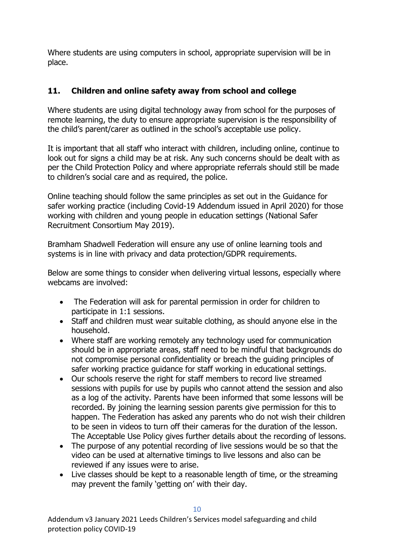Where students are using computers in school, appropriate supervision will be in place.

### <span id="page-9-0"></span>**11. Children and online safety away from school and college**

Where students are using digital technology away from school for the purposes of remote learning, the duty to ensure appropriate supervision is the responsibility of the child's parent/carer as outlined in the school's acceptable use policy.

It is important that all staff who interact with children, including online, continue to look out for signs a child may be at risk. Any such concerns should be dealt with as per the Child Protection Policy and where appropriate referrals should still be made to children's social care and as required, the police.

Online teaching should follow the same principles as set out in the Guidance for safer working practice (including Covid-19 Addendum issued in April 2020) for those working with children and young people in education settings (National Safer Recruitment Consortium May 2019).

Bramham Shadwell Federation will ensure any use of online learning tools and systems is in line with privacy and data protection/GDPR requirements.

Below are some things to consider when delivering virtual lessons, especially where webcams are involved:

- The Federation will ask for parental permission in order for children to participate in 1:1 sessions.
- Staff and children must wear suitable clothing, as should anyone else in the household.
- Where staff are working remotely any technology used for communication should be in appropriate areas, staff need to be mindful that backgrounds do not compromise personal confidentiality or breach the guiding principles of safer working practice guidance for staff working in educational settings.
- Our schools reserve the right for staff members to record live streamed sessions with pupils for use by pupils who cannot attend the session and also as a log of the activity. Parents have been informed that some lessons will be recorded. By joining the learning session parents give permission for this to happen. The Federation has asked any parents who do not wish their children to be seen in videos to turn off their cameras for the duration of the lesson. The Acceptable Use Policy gives further details about the recording of lessons.
- The purpose of any potential recording of live sessions would be so that the video can be used at alternative timings to live lessons and also can be reviewed if any issues were to arise.
- Live classes should be kept to a reasonable length of time, or the streaming may prevent the family 'getting on' with their day.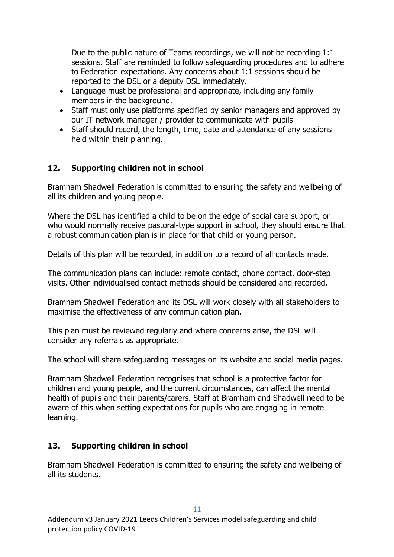Due to the public nature of Teams recordings, we will not be recording 1:1 sessions. Staff are reminded to follow safeguarding procedures and to adhere to Federation expectations. Any concerns about 1:1 sessions should be reported to the DSL or a deputy DSL immediately.

- Language must be professional and appropriate, including any family members in the background.
- Staff must only use platforms specified by senior managers and approved by our IT network manager / provider to communicate with pupils
- Staff should record, the length, time, date and attendance of any sessions held within their planning.

#### <span id="page-10-0"></span>**12. Supporting children not in school**

Bramham Shadwell Federation is committed to ensuring the safety and wellbeing of all its children and young people.

Where the DSL has identified a child to be on the edge of social care support, or who would normally receive pastoral-type support in school, they should ensure that a robust communication plan is in place for that child or young person.

Details of this plan will be recorded, in addition to a record of all contacts made.

The communication plans can include: remote contact, phone contact, door-step visits. Other individualised contact methods should be considered and recorded.

Bramham Shadwell Federation and its DSL will work closely with all stakeholders to maximise the effectiveness of any communication plan.

This plan must be reviewed regularly and where concerns arise, the DSL will consider any referrals as appropriate.

The school will share safeguarding messages on its website and social media pages.

Bramham Shadwell Federation recognises that school is a protective factor for children and young people, and the current circumstances, can affect the mental health of pupils and their parents/carers. Staff at Bramham and Shadwell need to be aware of this when setting expectations for pupils who are engaging in remote learning.

#### <span id="page-10-1"></span>**13. Supporting children in school**

Bramham Shadwell Federation is committed to ensuring the safety and wellbeing of all its students.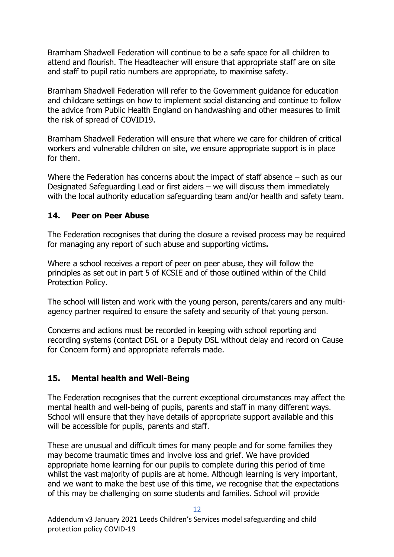Bramham Shadwell Federation will continue to be a safe space for all children to attend and flourish. The Headteacher will ensure that appropriate staff are on site and staff to pupil ratio numbers are appropriate, to maximise safety.

Bramham Shadwell Federation will refer to the Government guidance for education and childcare settings on how to implement social distancing and continue to follow the advice from Public Health England on handwashing and other measures to limit the risk of spread of COVID19.

Bramham Shadwell Federation will ensure that where we care for children of critical workers and vulnerable children on site, we ensure appropriate support is in place for them.

Where the Federation has concerns about the impact of staff absence – such as our Designated Safeguarding Lead or first aiders – we will discuss them immediately with the local authority education safeguarding team and/or health and safety team.

#### <span id="page-11-0"></span>**14. Peer on Peer Abuse**

The Federation recognises that during the closure a revised process may be required for managing any report of such abuse and supporting victims**.** 

Where a school receives a report of peer on peer abuse, they will follow the principles as set out in part 5 of KCSIE and of those outlined within of the Child Protection Policy.

The school will listen and work with the young person, parents/carers and any multiagency partner required to ensure the safety and security of that young person.

Concerns and actions must be recorded in keeping with school reporting and recording systems (contact DSL or a Deputy DSL without delay and record on Cause for Concern form) and appropriate referrals made.

#### <span id="page-11-1"></span>**15. Mental health and Well-Being**

The Federation recognises that the current exceptional circumstances may affect the mental health and well-being of pupils, parents and staff in many different ways. School will ensure that they have details of appropriate support available and this will be accessible for pupils, parents and staff.

These are unusual and difficult times for many people and for some families they may become traumatic times and involve loss and grief. We have provided appropriate home learning for our pupils to complete during this period of time whilst the vast majority of pupils are at home. Although learning is very important, and we want to make the best use of this time, we recognise that the expectations of this may be challenging on some students and families. School will provide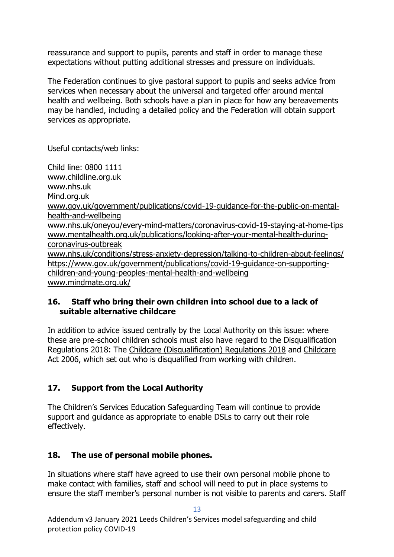reassurance and support to pupils, parents and staff in order to manage these expectations without putting additional stresses and pressure on individuals.

The Federation continues to give pastoral support to pupils and seeks advice from services when necessary about the universal and targeted offer around mental health and wellbeing. Both schools have a plan in place for how any bereavements may be handled, including a detailed policy and the Federation will obtain support services as appropriate.

Useful contacts/web links:

Child line: 0800 1111 www.childline.org.uk www.nhs.uk Mind.org.uk [www.gov.uk/government/publications/covid-19-guidance-for-the-public-on-mental](http://www.gov.uk/government/publications/covid-19-guidance-for-the-public-on-mental-health-and-wellbeing)[health-and-wellbeing](http://www.gov.uk/government/publications/covid-19-guidance-for-the-public-on-mental-health-and-wellbeing) [www.nhs.uk/oneyou/every-mind-matters/coronavirus-covid-19-staying-at-home-tips](http://www.nhs.uk/oneyou/every-mind-matters/coronavirus-covid-19-staying-at-home-tips)  [www.mentalhealth.org.uk/publications/looking-after-your-mental-health-during](http://www.mentalhealth.org.uk/publications/looking-after-your-mental-health-during-coronavirus-outbreak)[coronavirus-outbreak](http://www.mentalhealth.org.uk/publications/looking-after-your-mental-health-during-coronavirus-outbreak) [www.nhs.uk/conditions/stress-anxiety-depression/talking-to-children-about-feelings/](http://www.nhs.uk/conditions/stress-anxiety-depression/talking-to-children-about-feelings/) [https://www.gov.uk/government/publications/covid-19-guidance-on-supporting](https://www.gov.uk/government/publications/covid-19-guidance-on-supporting-children-and-young-peoples-mental-health-and-wellbeing)[children-and-young-peoples-mental-health-and-wellbeing](https://www.gov.uk/government/publications/covid-19-guidance-on-supporting-children-and-young-peoples-mental-health-and-wellbeing) [www.mindmate.org.uk/](http://www.mindmate.org.uk/)

#### <span id="page-12-0"></span>**16. Staff who bring their own children into school due to a lack of suitable alternative childcare**

In addition to advice issued centrally by the Local Authority on this issue: where these are pre-school children schools must also have regard to the Disqualification Regulations 2018: The Childcare (Disqualification) Regulations 2018 and [Childcare](http://www.legislation.gov.uk/ukpga/2006/21/contents)  [Act 2006,](http://www.legislation.gov.uk/ukpga/2006/21/contents) which set out who is disqualified from working with children.

## <span id="page-12-1"></span>**17. Support from the Local Authority**

The Children's Services Education Safeguarding Team will continue to provide support and guidance as appropriate to enable DSLs to carry out their role effectively.

## <span id="page-12-2"></span>**18. The use of personal mobile phones.**

In situations where staff have agreed to use their own personal mobile phone to make contact with families, staff and school will need to put in place systems to ensure the staff member's personal number is not visible to parents and carers. Staff